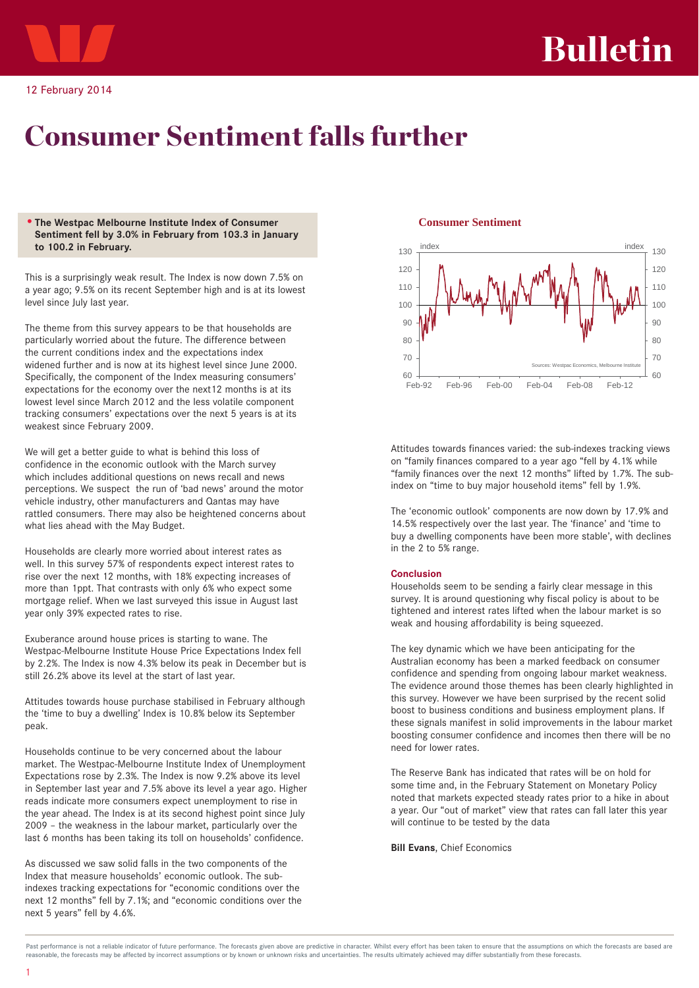

# Consumer Sentiment falls further

#### • **The Westpac Melbourne Institute Index of Consumer Sentiment fell by 3.0% in February from 103.3 in January to 100.2 in February.**

This is a surprisingly weak result. The Index is now down 7.5% on a year ago; 9.5% on its recent September high and is at its lowest level since July last year.

The theme from this survey appears to be that households are particularly worried about the future. The difference between the current conditions index and the expectations index widened further and is now at its highest level since June 2000. Specifically, the component of the Index measuring consumers' expectations for the economy over the next12 months is at its lowest level since March 2012 and the less volatile component tracking consumers' expectations over the next 5 years is at its weakest since February 2009.

We will get a better guide to what is behind this loss of confidence in the economic outlook with the March survey which includes additional questions on news recall and news perceptions. We suspect the run of 'bad news' around the motor vehicle industry, other manufacturers and Qantas may have rattled consumers. There may also be heightened concerns about what lies ahead with the May Budget.

Households are clearly more worried about interest rates as well. In this survey 57% of respondents expect interest rates to rise over the next 12 months, with 18% expecting increases of more than 1ppt. That contrasts with only 6% who expect some mortgage relief. When we last surveyed this issue in August last year only 39% expected rates to rise.

Exuberance around house prices is starting to wane. The Westpac-Melbourne Institute House Price Expectations Index fell by 2.2%. The Index is now 4.3% below its peak in December but is still 26.2% above its level at the start of last year.

Attitudes towards house purchase stabilised in February although the 'time to buy a dwelling' Index is 10.8% below its September peak.

Households continue to be very concerned about the labour market. The Westpac-Melbourne Institute Index of Unemployment Expectations rose by 2.3%. The Index is now 9.2% above its level in September last year and 7.5% above its level a year ago. Higher reads indicate more consumers expect unemployment to rise in the year ahead. The Index is at its second highest point since July 2009 – the weakness in the labour market, particularly over the last 6 months has been taking its toll on households' confidence.

As discussed we saw solid falls in the two components of the Index that measure households' economic outlook. The subindexes tracking expectations for "economic conditions over the next 12 months" fell by 7.1%; and "economic conditions over the next 5 years" fell by 4.6%.

### **Consumer Sentiment**



Attitudes towards finances varied: the sub-indexes tracking views on "family finances compared to a year ago "fell by 4.1% while "family finances over the next 12 months" lifted by 1.7%. The subindex on "time to buy major household items" fell by 1.9%.

The 'economic outlook' components are now down by 17.9% and 14.5% respectively over the last year. The 'finance' and 'time to buy a dwelling components have been more stable', with declines in the 2 to 5% range.

### **Conclusion**

Households seem to be sending a fairly clear message in this survey. It is around questioning why fiscal policy is about to be tightened and interest rates lifted when the labour market is so weak and housing affordability is being squeezed.

The key dynamic which we have been anticipating for the Australian economy has been a marked feedback on consumer confidence and spending from ongoing labour market weakness. The evidence around those themes has been clearly highlighted in this survey. However we have been surprised by the recent solid boost to business conditions and business employment plans. If these signals manifest in solid improvements in the labour market boosting consumer confidence and incomes then there will be no need for lower rates.

The Reserve Bank has indicated that rates will be on hold for some time and, in the February Statement on Monetary Policy noted that markets expected steady rates prior to a hike in about a year. Our "out of market" view that rates can fall later this year will continue to be tested by the data

**Bill Evans**, Chief Economics

Past nerformance is not a reliable indicator of future nerformance. The forecasts given above are predictive in character. Whilst every effort has been taken to ensure that the assumptions on which the forecasts are based reasonable, the forecasts may be affected by incorrect assumptions or by known or unknown risks and uncertainties. The results ultimately achieved may differ substantially from these forecasts.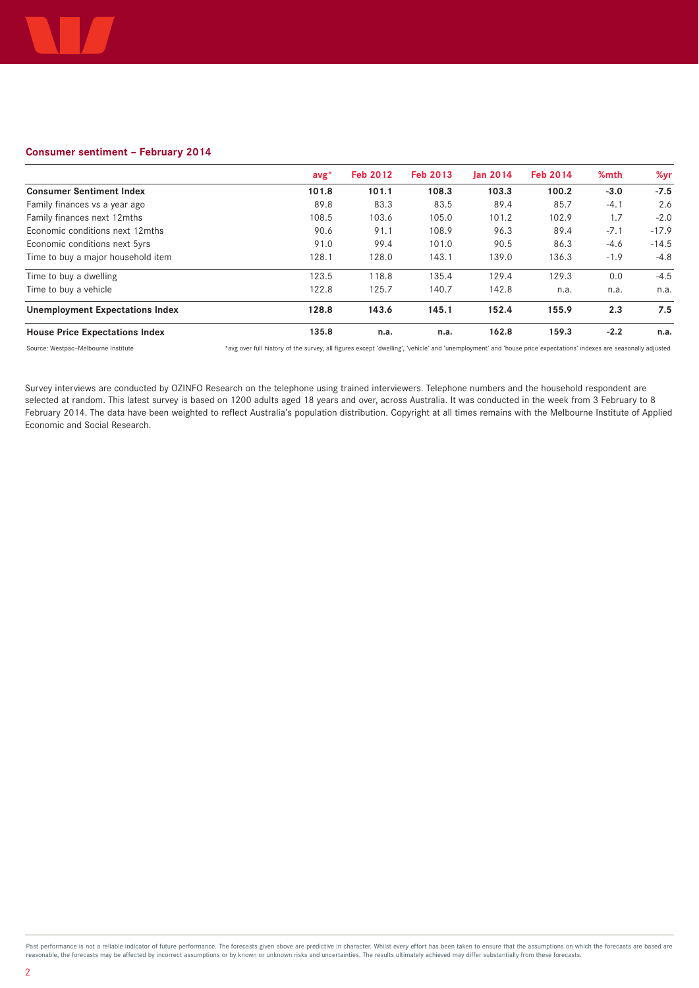

## **Consumer sentiment – February 2014**

|                                        | $\mathsf{avg}^{\star}$ | <b>Feb 2012</b> | <b>Feb 2013</b> | lan 2014 | <b>Feb 2014</b> | %mth   | %vr     |
|----------------------------------------|------------------------|-----------------|-----------------|----------|-----------------|--------|---------|
| <b>Consumer Sentiment Index</b>        | 101.8                  | 101.1           | 108.3           | 103.3    | 100.2           | $-3.0$ | $-7.5$  |
| Family finances vs a year ago          | 89.8                   | 83.3            | 83.5            | 89.4     | 85.7            | $-4.1$ | 2.6     |
| Family finances next 12mths            | 108.5                  | 103.6           | 105.0           | 101.2    | 102.9           | 1.7    | $-2.0$  |
| Economic conditions next 12mths        | 90.6                   | 91.1            | 108.9           | 96.3     | 89.4            | $-7.1$ | $-17.9$ |
| Economic conditions next 5yrs          | 91.0                   | 99.4            | 101.0           | 90.5     | 86.3            | $-4.6$ | $-14.5$ |
| Time to buy a major household item     | 128.1                  | 128.0           | 143.1           | 139.0    | 136.3           | $-1.9$ | $-4.8$  |
| Time to buy a dwelling                 | 123.5                  | 118.8           | 135.4           | 129.4    | 129.3           | 0.0    | $-4.5$  |
| Time to buy a vehicle                  | 122.8                  | 125.7           | 140.7           | 142.8    | n.a.            | n.a.   | n.a.    |
| <b>Unemployment Expectations Index</b> | 128.8                  | 143.6           | 145.1           | 152.4    | 155.9           | 2.3    | 7.5     |
| <b>House Price Expectations Index</b>  | 135.8                  | n.a.            | n.a.            | 162.8    | 159.3           | $-2.2$ | n.a.    |

Source: Westpac–Melbourne Institute \*avg over full history of the survey, all figures except 'dwelling', 'vehicle' and 'unemployment' and 'house price expectations' indexes are seasonally adjusted

Survey interviews are conducted by OZINFO Research on the telephone using trained interviewers. Telephone numbers and the household respondent are selected at random. This latest survey is based on 1200 adults aged 18 years and over, across Australia. It was conducted in the week from 3 February to 8 February 2014. The data have been weighted to reflect Australia's population distribution. Copyright at all times remains with the Melbourne Institute of Applied Economic and Social Research.

Past performance is not a reliable indicator of future performance. The forecasts given above are predictive in character. Whilst every effort has been taken to ensure that the assumptions on which the forecasts are based reasonable, the forecasts may be affected by incorrect assumptions or by known or unknown risks and uncertainties. The results ultimately achieved may differ substantially from these forecasts.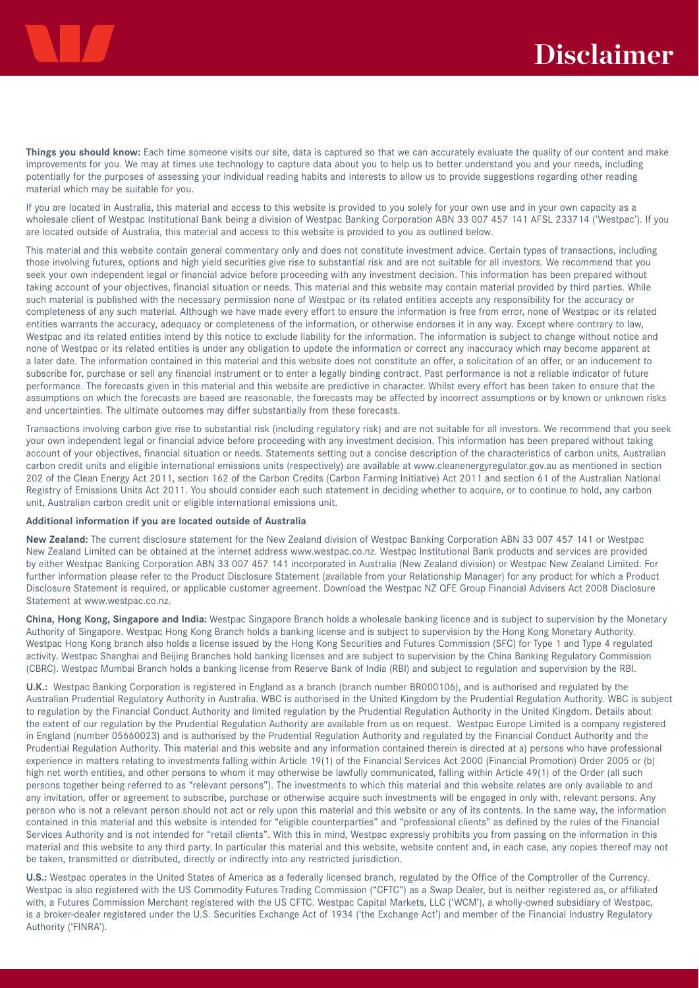**Things you should know:** Each time someone visits our site, data is captured so that we can accurately evaluate the quality of our content and make improvements for you. We may at times use technology to capture data about you to help us to better understand you and your needs, including potentially for the purposes of assessing your individual reading habits and interests to allow us to provide suggestions regarding other reading material which may be suitable for you.

If you are located in Australia, this material and access to this website is provided to you solely for your own use and in your own capacity as a wholesale client of Westpac Institutional Bank being a division of Westpac Banking Corporation ABN 33 007 457 141 AFSL 233714 ('Westpac'). If you are located outside of Australia, this material and access to this website is provided to you as outlined below.

This material and this website contain general commentary only and does not constitute investment advice. Certain types of transactions, including those involving futures, options and high yield securities give rise to substantial risk and are not suitable for all investors. We recommend that you seek your own independent legal or financial advice before proceeding with any investment decision. This information has been prepared without taking account of your objectives, financial situation or needs. This material and this website may contain material provided by third parties. While such material is published with the necessary permission none of Westpac or its related entities accepts any responsibility for the accuracy or completeness of any such material. Although we have made every effort to ensure the information is free from error, none of Westpac or its related entities warrants the accuracy, adequacy or completeness of the information, or otherwise endorses it in any way. Except where contrary to law, Westpac and its related entities intend by this notice to exclude liability for the information. The information is subject to change without notice and none of Westpac or its related entities is under any obligation to update the information or correct any inaccuracy which may become apparent at a later date. The information contained in this material and this website does not constitute an offer, a solicitation of an offer, or an inducement to subscribe for, purchase or sell any financial instrument or to enter a legally binding contract. Past performance is not a reliable indicator of future performance. The forecasts given in this material and this website are predictive in character. Whilst every effort has been taken to ensure that the assumptions on which the forecasts are based are reasonable, the forecasts may be affected by incorrect assumptions or by known or unknown risks and uncertainties. The ultimate outcomes may differ substantially from these forecasts.

Transactions involving carbon give rise to substantial risk (including regulatory risk) and are not suitable for all investors. We recommend that you seek your own independent legal or financial advice before proceeding with any investment decision. This information has been prepared without taking account of your objectives, financial situation or needs. Statements setting out a concise description of the characteristics of carbon units, Australian carbon credit units and eligible international emissions units (respectively) are available at www.cleanenergyregulator.gov.au as mentioned in section 202 of the Clean Energy Act 2011, section 162 of the Carbon Credits (Carbon Farming Initiative) Act 2011 and section 61 of the Australian National Registry of Emissions Units Act 2011. You should consider each such statement in deciding whether to acquire, or to continue to hold, any carbon unit, Australian carbon credit unit or eligible international emissions unit.

#### **Additional information if you are located outside of Australia**

**New Zealand:** The current disclosure statement for the New Zealand division of Westpac Banking Corporation ABN 33 007 457 141 or Westpac New Zealand Limited can be obtained at the internet address www.westpac.co.nz. Westpac Institutional Bank products and services are provided by either Westpac Banking Corporation ABN 33 007 457 141 incorporated in Australia (New Zealand division) or Westpac New Zealand Limited. For further information please refer to the Product Disclosure Statement (available from your Relationship Manager) for any product for which a Product Disclosure Statement is required, or applicable customer agreement. Download the Westpac NZ QFE Group Financial Advisers Act 2008 Disclosure Statement at www.westpac.co.nz.

**China, Hong Kong, Singapore and India:** Westpac Singapore Branch holds a wholesale banking licence and is subject to supervision by the Monetary Authority of Singapore. Westpac Hong Kong Branch holds a banking license and is subject to supervision by the Hong Kong Monetary Authority. Westpac Hong Kong branch also holds a license issued by the Hong Kong Securities and Futures Commission (SFC) for Type 1 and Type 4 regulated activity. Westpac Shanghai and Beijing Branches hold banking licenses and are subject to supervision by the China Banking Regulatory Commission (CBRC). Westpac Mumbai Branch holds a banking license from Reserve Bank of India (RBI) and subject to regulation and supervision by the RBI.

**U.K.:** Westpac Banking Corporation is registered in England as a branch (branch number BR000106), and is authorised and regulated by the Australian Prudential Regulatory Authority in Australia. WBC is authorised in the United Kingdom by the Prudential Regulation Authority. WBC is subject to regulation by the Financial Conduct Authority and limited regulation by the Prudential Regulation Authority in the United Kingdom. Details about the extent of our regulation by the Prudential Regulation Authority are available from us on request. Westpac Europe Limited is a company registered in England (number 05660023) and is authorised by the Prudential Regulation Authority and regulated by the Financial Conduct Authority and the Prudential Regulation Authority. This material and this website and any information contained therein is directed at a) persons who have professional experience in matters relating to investments falling within Article 19(1) of the Financial Services Act 2000 (Financial Promotion) Order 2005 or (b) high net worth entities, and other persons to whom it may otherwise be lawfully communicated, falling within Article 49(1) of the Order (all such persons together being referred to as "relevant persons"). The investments to which this material and this website relates are only available to and any invitation, offer or agreement to subscribe, purchase or otherwise acquire such investments will be engaged in only with, relevant persons. Any person who is not a relevant person should not act or rely upon this material and this website or any of its contents. In the same way, the information contained in this material and this website is intended for "eligible counterparties" and "professional clients" as defined by the rules of the Financial Services Authority and is not intended for "retail clients". With this in mind, Westpac expressly prohibits you from passing on the information in this material and this website to any third party. In particular this material and this website, website content and, in each case, any copies thereof may not be taken, transmitted or distributed, directly or indirectly into any restricted jurisdiction.

**U.S.:** Westpac operates in the United States of America as a federally licensed branch, regulated by the Office of the Comptroller of the Currency. Westpac is also registered with the US Commodity Futures Trading Commission ("CFTC") as a Swap Dealer, but is neither registered as, or affiliated with, a Futures Commission Merchant registered with the US CFTC. Westpac Capital Markets, LLC ('WCM'), a wholly-owned subsidiary of Westpac, is a broker-dealer registered under the U.S. Securities Exchange Act of 1934 ('the Exchange Act') and member of the Financial Industry Regulatory Authority ('FINRA').